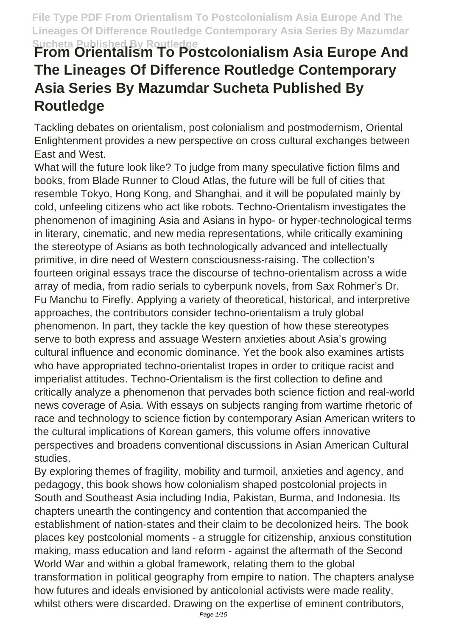# **Sucheta Published By Routledge From Orientalism To Postcolonialism Asia Europe And The Lineages Of Difference Routledge Contemporary Asia Series By Mazumdar Sucheta Published By Routledge**

Tackling debates on orientalism, post colonialism and postmodernism, Oriental Enlightenment provides a new perspective on cross cultural exchanges between East and West.

What will the future look like? To judge from many speculative fiction films and books, from Blade Runner to Cloud Atlas, the future will be full of cities that resemble Tokyo, Hong Kong, and Shanghai, and it will be populated mainly by cold, unfeeling citizens who act like robots. Techno-Orientalism investigates the phenomenon of imagining Asia and Asians in hypo- or hyper-technological terms in literary, cinematic, and new media representations, while critically examining the stereotype of Asians as both technologically advanced and intellectually primitive, in dire need of Western consciousness-raising. The collection's fourteen original essays trace the discourse of techno-orientalism across a wide array of media, from radio serials to cyberpunk novels, from Sax Rohmer's Dr. Fu Manchu to Firefly. Applying a variety of theoretical, historical, and interpretive approaches, the contributors consider techno-orientalism a truly global phenomenon. In part, they tackle the key question of how these stereotypes serve to both express and assuage Western anxieties about Asia's growing cultural influence and economic dominance. Yet the book also examines artists who have appropriated techno-orientalist tropes in order to critique racist and imperialist attitudes. Techno-Orientalism is the first collection to define and critically analyze a phenomenon that pervades both science fiction and real-world news coverage of Asia. With essays on subjects ranging from wartime rhetoric of race and technology to science fiction by contemporary Asian American writers to the cultural implications of Korean gamers, this volume offers innovative perspectives and broadens conventional discussions in Asian American Cultural studies.

By exploring themes of fragility, mobility and turmoil, anxieties and agency, and pedagogy, this book shows how colonialism shaped postcolonial projects in South and Southeast Asia including India, Pakistan, Burma, and Indonesia. Its chapters unearth the contingency and contention that accompanied the establishment of nation-states and their claim to be decolonized heirs. The book places key postcolonial moments - a struggle for citizenship, anxious constitution making, mass education and land reform - against the aftermath of the Second World War and within a global framework, relating them to the global transformation in political geography from empire to nation. The chapters analyse how futures and ideals envisioned by anticolonial activists were made reality, whilst others were discarded. Drawing on the expertise of eminent contributors,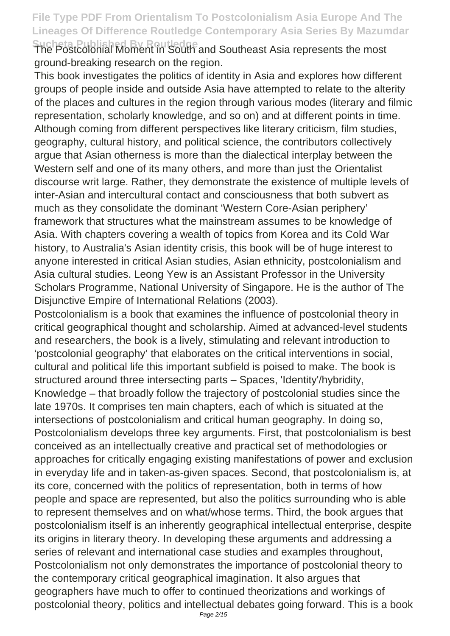**Sucheta Published By Routledge** The Postcolonial Moment in South and Southeast Asia represents the most ground-breaking research on the region.

This book investigates the politics of identity in Asia and explores how different groups of people inside and outside Asia have attempted to relate to the alterity of the places and cultures in the region through various modes (literary and filmic representation, scholarly knowledge, and so on) and at different points in time. Although coming from different perspectives like literary criticism, film studies, geography, cultural history, and political science, the contributors collectively argue that Asian otherness is more than the dialectical interplay between the Western self and one of its many others, and more than just the Orientalist discourse writ large. Rather, they demonstrate the existence of multiple levels of inter-Asian and intercultural contact and consciousness that both subvert as much as they consolidate the dominant 'Western Core-Asian periphery' framework that structures what the mainstream assumes to be knowledge of Asia. With chapters covering a wealth of topics from Korea and its Cold War history, to Australia's Asian identity crisis, this book will be of huge interest to anyone interested in critical Asian studies, Asian ethnicity, postcolonialism and Asia cultural studies. Leong Yew is an Assistant Professor in the University Scholars Programme, National University of Singapore. He is the author of The Disjunctive Empire of International Relations (2003).

Postcolonialism is a book that examines the influence of postcolonial theory in critical geographical thought and scholarship. Aimed at advanced-level students and researchers, the book is a lively, stimulating and relevant introduction to 'postcolonial geography' that elaborates on the critical interventions in social, cultural and political life this important subfield is poised to make. The book is structured around three intersecting parts – Spaces, 'Identity'/hybridity, Knowledge – that broadly follow the trajectory of postcolonial studies since the late 1970s. It comprises ten main chapters, each of which is situated at the intersections of postcolonialism and critical human geography. In doing so, Postcolonialism develops three key arguments. First, that postcolonialism is best conceived as an intellectually creative and practical set of methodologies or approaches for critically engaging existing manifestations of power and exclusion in everyday life and in taken-as-given spaces. Second, that postcolonialism is, at its core, concerned with the politics of representation, both in terms of how people and space are represented, but also the politics surrounding who is able to represent themselves and on what/whose terms. Third, the book argues that postcolonialism itself is an inherently geographical intellectual enterprise, despite its origins in literary theory. In developing these arguments and addressing a series of relevant and international case studies and examples throughout, Postcolonialism not only demonstrates the importance of postcolonial theory to the contemporary critical geographical imagination. It also argues that geographers have much to offer to continued theorizations and workings of postcolonial theory, politics and intellectual debates going forward. This is a book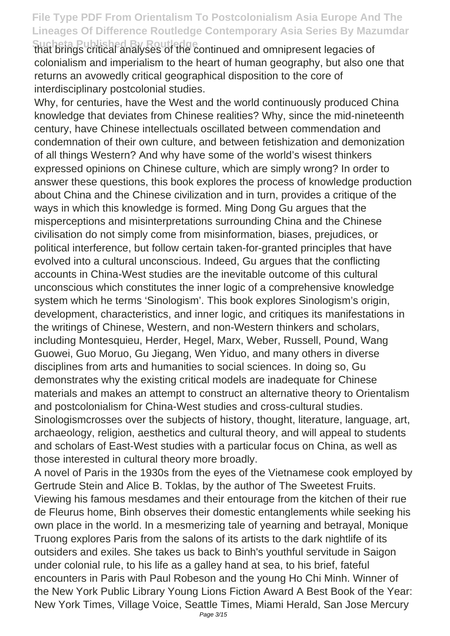**Sucheta Published By Routledge** that brings critical analyses of the continued and omnipresent legacies of colonialism and imperialism to the heart of human geography, but also one that returns an avowedly critical geographical disposition to the core of interdisciplinary postcolonial studies.

Why, for centuries, have the West and the world continuously produced China knowledge that deviates from Chinese realities? Why, since the mid-nineteenth century, have Chinese intellectuals oscillated between commendation and condemnation of their own culture, and between fetishization and demonization of all things Western? And why have some of the world's wisest thinkers expressed opinions on Chinese culture, which are simply wrong? In order to answer these questions, this book explores the process of knowledge production about China and the Chinese civilization and in turn, provides a critique of the ways in which this knowledge is formed. Ming Dong Gu argues that the misperceptions and misinterpretations surrounding China and the Chinese civilisation do not simply come from misinformation, biases, prejudices, or political interference, but follow certain taken-for-granted principles that have evolved into a cultural unconscious. Indeed, Gu argues that the conflicting accounts in China-West studies are the inevitable outcome of this cultural unconscious which constitutes the inner logic of a comprehensive knowledge system which he terms 'Sinologism'. This book explores Sinologism's origin, development, characteristics, and inner logic, and critiques its manifestations in the writings of Chinese, Western, and non-Western thinkers and scholars, including Montesquieu, Herder, Hegel, Marx, Weber, Russell, Pound, Wang Guowei, Guo Moruo, Gu Jiegang, Wen Yiduo, and many others in diverse disciplines from arts and humanities to social sciences. In doing so, Gu demonstrates why the existing critical models are inadequate for Chinese materials and makes an attempt to construct an alternative theory to Orientalism and postcolonialism for China-West studies and cross-cultural studies. Sinologismcrosses over the subjects of history, thought, literature, language, art, archaeology, religion, aesthetics and cultural theory, and will appeal to students and scholars of East-West studies with a particular focus on China, as well as those interested in cultural theory more broadly.

A novel of Paris in the 1930s from the eyes of the Vietnamese cook employed by Gertrude Stein and Alice B. Toklas, by the author of The Sweetest Fruits. Viewing his famous mesdames and their entourage from the kitchen of their rue de Fleurus home, Binh observes their domestic entanglements while seeking his own place in the world. In a mesmerizing tale of yearning and betrayal, Monique Truong explores Paris from the salons of its artists to the dark nightlife of its outsiders and exiles. She takes us back to Binh's youthful servitude in Saigon under colonial rule, to his life as a galley hand at sea, to his brief, fateful encounters in Paris with Paul Robeson and the young Ho Chi Minh. Winner of the New York Public Library Young Lions Fiction Award A Best Book of the Year: New York Times, Village Voice, Seattle Times, Miami Herald, San Jose Mercury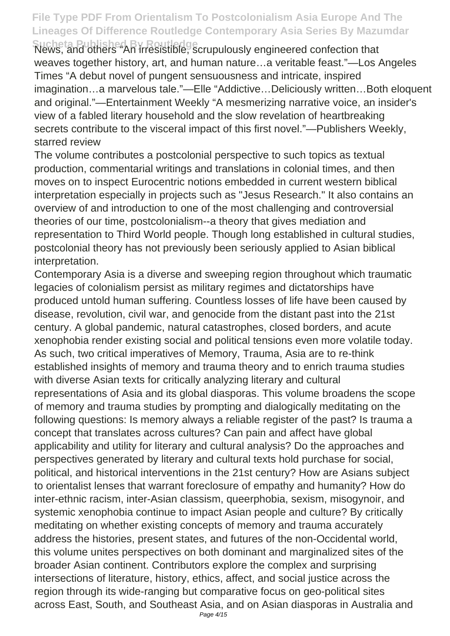Sucheta Published By Routledge<br>News, and others "An irresistible, scrupulously engineered confection that weaves together history, art, and human nature…a veritable feast."—Los Angeles Times "A debut novel of pungent sensuousness and intricate, inspired imagination…a marvelous tale."—Elle "Addictive…Deliciously written…Both eloquent and original."—Entertainment Weekly "A mesmerizing narrative voice, an insider's view of a fabled literary household and the slow revelation of heartbreaking secrets contribute to the visceral impact of this first novel."—Publishers Weekly, starred review

The volume contributes a postcolonial perspective to such topics as textual production, commentarial writings and translations in colonial times, and then moves on to inspect Eurocentric notions embedded in current western biblical interpretation especially in projects such as "Jesus Research." It also contains an overview of and introduction to one of the most challenging and controversial theories of our time, postcolonialism--a theory that gives mediation and representation to Third World people. Though long established in cultural studies, postcolonial theory has not previously been seriously applied to Asian biblical interpretation.

Contemporary Asia is a diverse and sweeping region throughout which traumatic legacies of colonialism persist as military regimes and dictatorships have produced untold human suffering. Countless losses of life have been caused by disease, revolution, civil war, and genocide from the distant past into the 21st century. A global pandemic, natural catastrophes, closed borders, and acute xenophobia render existing social and political tensions even more volatile today. As such, two critical imperatives of Memory, Trauma, Asia are to re-think established insights of memory and trauma theory and to enrich trauma studies with diverse Asian texts for critically analyzing literary and cultural representations of Asia and its global diasporas. This volume broadens the scope of memory and trauma studies by prompting and dialogically meditating on the following questions: Is memory always a reliable register of the past? Is trauma a concept that translates across cultures? Can pain and affect have global applicability and utility for literary and cultural analysis? Do the approaches and perspectives generated by literary and cultural texts hold purchase for social, political, and historical interventions in the 21st century? How are Asians subject to orientalist lenses that warrant foreclosure of empathy and humanity? How do inter-ethnic racism, inter-Asian classism, queerphobia, sexism, misogynoir, and systemic xenophobia continue to impact Asian people and culture? By critically meditating on whether existing concepts of memory and trauma accurately address the histories, present states, and futures of the non-Occidental world, this volume unites perspectives on both dominant and marginalized sites of the broader Asian continent. Contributors explore the complex and surprising intersections of literature, history, ethics, affect, and social justice across the region through its wide-ranging but comparative focus on geo-political sites across East, South, and Southeast Asia, and on Asian diasporas in Australia and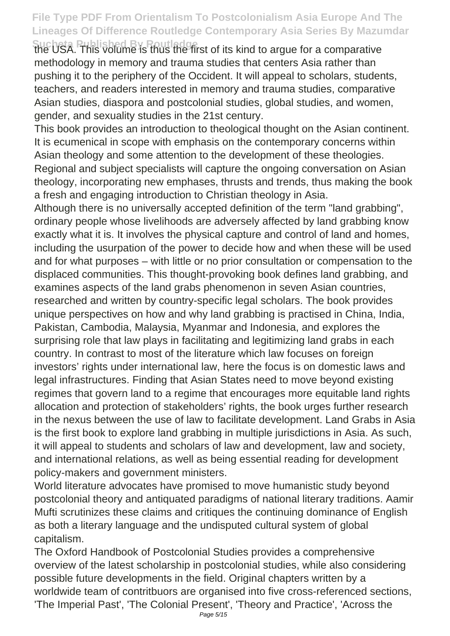**Sucheta Published By Routledge** the USA. This volume is thus the first of its kind to argue for a comparative methodology in memory and trauma studies that centers Asia rather than pushing it to the periphery of the Occident. It will appeal to scholars, students, teachers, and readers interested in memory and trauma studies, comparative Asian studies, diaspora and postcolonial studies, global studies, and women, gender, and sexuality studies in the 21st century.

This book provides an introduction to theological thought on the Asian continent. It is ecumenical in scope with emphasis on the contemporary concerns within Asian theology and some attention to the development of these theologies. Regional and subject specialists will capture the ongoing conversation on Asian theology, incorporating new emphases, thrusts and trends, thus making the book a fresh and engaging introduction to Christian theology in Asia.

Although there is no universally accepted definition of the term "land grabbing", ordinary people whose livelihoods are adversely affected by land grabbing know exactly what it is. It involves the physical capture and control of land and homes, including the usurpation of the power to decide how and when these will be used and for what purposes – with little or no prior consultation or compensation to the displaced communities. This thought-provoking book defines land grabbing, and examines aspects of the land grabs phenomenon in seven Asian countries, researched and written by country-specific legal scholars. The book provides unique perspectives on how and why land grabbing is practised in China, India, Pakistan, Cambodia, Malaysia, Myanmar and Indonesia, and explores the surprising role that law plays in facilitating and legitimizing land grabs in each country. In contrast to most of the literature which law focuses on foreign investors' rights under international law, here the focus is on domestic laws and legal infrastructures. Finding that Asian States need to move beyond existing regimes that govern land to a regime that encourages more equitable land rights allocation and protection of stakeholders' rights, the book urges further research in the nexus between the use of law to facilitate development. Land Grabs in Asia is the first book to explore land grabbing in multiple jurisdictions in Asia. As such, it will appeal to students and scholars of law and development, law and society, and international relations, as well as being essential reading for development policy-makers and government ministers.

World literature advocates have promised to move humanistic study beyond postcolonial theory and antiquated paradigms of national literary traditions. Aamir Mufti scrutinizes these claims and critiques the continuing dominance of English as both a literary language and the undisputed cultural system of global capitalism.

The Oxford Handbook of Postcolonial Studies provides a comprehensive overview of the latest scholarship in postcolonial studies, while also considering possible future developments in the field. Original chapters written by a worldwide team of contritbuors are organised into five cross-referenced sections, 'The Imperial Past', 'The Colonial Present', 'Theory and Practice', 'Across the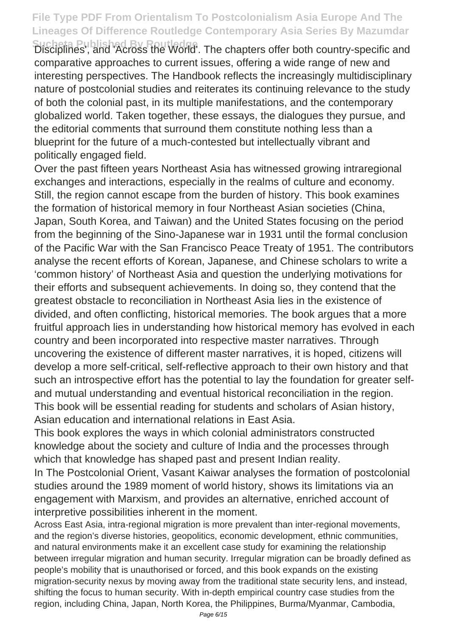Sucheta Published By Routledge.<br>Disciplines', and 'Across the World'. The chapters offer both country-specific and comparative approaches to current issues, offering a wide range of new and interesting perspectives. The Handbook reflects the increasingly multidisciplinary nature of postcolonial studies and reiterates its continuing relevance to the study of both the colonial past, in its multiple manifestations, and the contemporary globalized world. Taken together, these essays, the dialogues they pursue, and the editorial comments that surround them constitute nothing less than a blueprint for the future of a much-contested but intellectually vibrant and politically engaged field.

Over the past fifteen years Northeast Asia has witnessed growing intraregional exchanges and interactions, especially in the realms of culture and economy. Still, the region cannot escape from the burden of history. This book examines the formation of historical memory in four Northeast Asian societies (China, Japan, South Korea, and Taiwan) and the United States focusing on the period from the beginning of the Sino-Japanese war in 1931 until the formal conclusion of the Pacific War with the San Francisco Peace Treaty of 1951. The contributors analyse the recent efforts of Korean, Japanese, and Chinese scholars to write a 'common history' of Northeast Asia and question the underlying motivations for their efforts and subsequent achievements. In doing so, they contend that the greatest obstacle to reconciliation in Northeast Asia lies in the existence of divided, and often conflicting, historical memories. The book argues that a more fruitful approach lies in understanding how historical memory has evolved in each country and been incorporated into respective master narratives. Through uncovering the existence of different master narratives, it is hoped, citizens will develop a more self-critical, self-reflective approach to their own history and that such an introspective effort has the potential to lay the foundation for greater selfand mutual understanding and eventual historical reconciliation in the region. This book will be essential reading for students and scholars of Asian history, Asian education and international relations in East Asia.

This book explores the ways in which colonial administrators constructed knowledge about the society and culture of India and the processes through which that knowledge has shaped past and present Indian reality.

In The Postcolonial Orient, Vasant Kaiwar analyses the formation of postcolonial studies around the 1989 moment of world history, shows its limitations via an engagement with Marxism, and provides an alternative, enriched account of interpretive possibilities inherent in the moment.

Across East Asia, intra-regional migration is more prevalent than inter-regional movements, and the region's diverse histories, geopolitics, economic development, ethnic communities, and natural environments make it an excellent case study for examining the relationship between irregular migration and human security. Irregular migration can be broadly defined as people's mobility that is unauthorised or forced, and this book expands on the existing migration-security nexus by moving away from the traditional state security lens, and instead, shifting the focus to human security. With in-depth empirical country case studies from the region, including China, Japan, North Korea, the Philippines, Burma/Myanmar, Cambodia,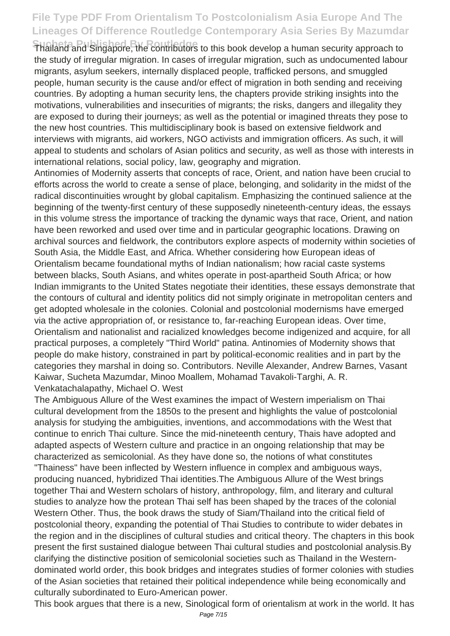**Strailand and Singapore, the contributors to this book develop a human security approach to** the study of irregular migration. In cases of irregular migration, such as undocumented labour migrants, asylum seekers, internally displaced people, trafficked persons, and smuggled people, human security is the cause and/or effect of migration in both sending and receiving countries. By adopting a human security lens, the chapters provide striking insights into the motivations, vulnerabilities and insecurities of migrants; the risks, dangers and illegality they are exposed to during their journeys; as well as the potential or imagined threats they pose to the new host countries. This multidisciplinary book is based on extensive fieldwork and interviews with migrants, aid workers, NGO activists and immigration officers. As such, it will appeal to students and scholars of Asian politics and security, as well as those with interests in international relations, social policy, law, geography and migration.

Antinomies of Modernity asserts that concepts of race, Orient, and nation have been crucial to efforts across the world to create a sense of place, belonging, and solidarity in the midst of the radical discontinuities wrought by global capitalism. Emphasizing the continued salience at the beginning of the twenty-first century of these supposedly nineteenth-century ideas, the essays in this volume stress the importance of tracking the dynamic ways that race, Orient, and nation have been reworked and used over time and in particular geographic locations. Drawing on archival sources and fieldwork, the contributors explore aspects of modernity within societies of South Asia, the Middle East, and Africa. Whether considering how European ideas of Orientalism became foundational myths of Indian nationalism; how racial caste systems between blacks, South Asians, and whites operate in post-apartheid South Africa; or how Indian immigrants to the United States negotiate their identities, these essays demonstrate that the contours of cultural and identity politics did not simply originate in metropolitan centers and get adopted wholesale in the colonies. Colonial and postcolonial modernisms have emerged via the active appropriation of, or resistance to, far-reaching European ideas. Over time, Orientalism and nationalist and racialized knowledges become indigenized and acquire, for all practical purposes, a completely "Third World" patina. Antinomies of Modernity shows that people do make history, constrained in part by political-economic realities and in part by the categories they marshal in doing so. Contributors. Neville Alexander, Andrew Barnes, Vasant Kaiwar, Sucheta Mazumdar, Minoo Moallem, Mohamad Tavakoli-Targhi, A. R. Venkatachalapathy, Michael O. West

The Ambiguous Allure of the West examines the impact of Western imperialism on Thai cultural development from the 1850s to the present and highlights the value of postcolonial analysis for studying the ambiguities, inventions, and accommodations with the West that continue to enrich Thai culture. Since the mid-nineteenth century, Thais have adopted and adapted aspects of Western culture and practice in an ongoing relationship that may be characterized as semicolonial. As they have done so, the notions of what constitutes "Thainess" have been inflected by Western influence in complex and ambiguous ways, producing nuanced, hybridized Thai identities.The Ambiguous Allure of the West brings together Thai and Western scholars of history, anthropology, film, and literary and cultural studies to analyze how the protean Thai self has been shaped by the traces of the colonial Western Other. Thus, the book draws the study of Siam/Thailand into the critical field of postcolonial theory, expanding the potential of Thai Studies to contribute to wider debates in the region and in the disciplines of cultural studies and critical theory. The chapters in this book present the first sustained dialogue between Thai cultural studies and postcolonial analysis.By clarifying the distinctive position of semicolonial societies such as Thailand in the Westerndominated world order, this book bridges and integrates studies of former colonies with studies of the Asian societies that retained their political independence while being economically and culturally subordinated to Euro-American power.

This book argues that there is a new, Sinological form of orientalism at work in the world. It has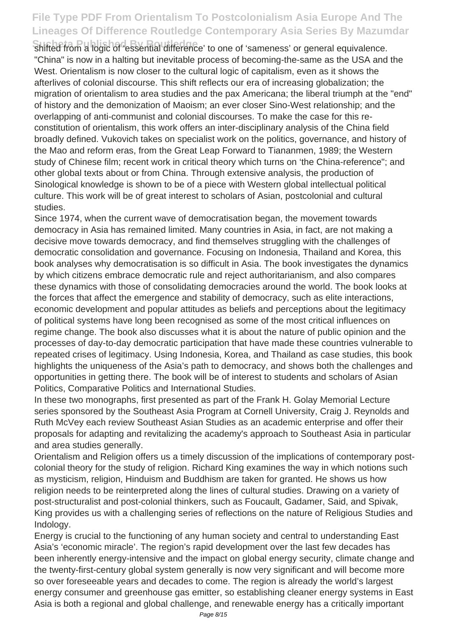Shifted from a logic of 'essential difference' to one of 'sameness' or general equivalence. "China" is now in a halting but inevitable process of becoming-the-same as the USA and the West. Orientalism is now closer to the cultural logic of capitalism, even as it shows the afterlives of colonial discourse. This shift reflects our era of increasing globalization; the migration of orientalism to area studies and the pax Americana; the liberal triumph at the "end" of history and the demonization of Maoism; an ever closer Sino-West relationship; and the overlapping of anti-communist and colonial discourses. To make the case for this reconstitution of orientalism, this work offers an inter-disciplinary analysis of the China field broadly defined. Vukovich takes on specialist work on the politics, governance, and history of the Mao and reform eras, from the Great Leap Forward to Tiananmen, 1989; the Western study of Chinese film; recent work in critical theory which turns on 'the China-reference"; and other global texts about or from China. Through extensive analysis, the production of Sinological knowledge is shown to be of a piece with Western global intellectual political culture. This work will be of great interest to scholars of Asian, postcolonial and cultural studies.

Since 1974, when the current wave of democratisation began, the movement towards democracy in Asia has remained limited. Many countries in Asia, in fact, are not making a decisive move towards democracy, and find themselves struggling with the challenges of democratic consolidation and governance. Focusing on Indonesia, Thailand and Korea, this book analyses why democratisation is so difficult in Asia. The book investigates the dynamics by which citizens embrace democratic rule and reject authoritarianism, and also compares these dynamics with those of consolidating democracies around the world. The book looks at the forces that affect the emergence and stability of democracy, such as elite interactions, economic development and popular attitudes as beliefs and perceptions about the legitimacy of political systems have long been recognised as some of the most critical influences on regime change. The book also discusses what it is about the nature of public opinion and the processes of day-to-day democratic participation that have made these countries vulnerable to repeated crises of legitimacy. Using Indonesia, Korea, and Thailand as case studies, this book highlights the uniqueness of the Asia's path to democracy, and shows both the challenges and opportunities in getting there. The book will be of interest to students and scholars of Asian Politics, Comparative Politics and International Studies.

In these two monographs, first presented as part of the Frank H. Golay Memorial Lecture series sponsored by the Southeast Asia Program at Cornell University, Craig J. Reynolds and Ruth McVey each review Southeast Asian Studies as an academic enterprise and offer their proposals for adapting and revitalizing the academy's approach to Southeast Asia in particular and area studies generally.

Orientalism and Religion offers us a timely discussion of the implications of contemporary postcolonial theory for the study of religion. Richard King examines the way in which notions such as mysticism, religion, Hinduism and Buddhism are taken for granted. He shows us how religion needs to be reinterpreted along the lines of cultural studies. Drawing on a variety of post-structuralist and post-colonial thinkers, such as Foucault, Gadamer, Said, and Spivak, King provides us with a challenging series of reflections on the nature of Religious Studies and Indology.

Energy is crucial to the functioning of any human society and central to understanding East Asia's 'economic miracle'. The region's rapid development over the last few decades has been inherently energy-intensive and the impact on global energy security, climate change and the twenty-first-century global system generally is now very significant and will become more so over foreseeable years and decades to come. The region is already the world's largest energy consumer and greenhouse gas emitter, so establishing cleaner energy systems in East Asia is both a regional and global challenge, and renewable energy has a critically important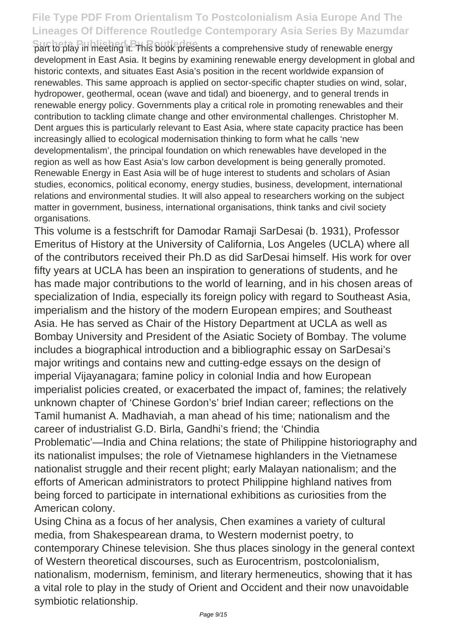**Sucheta Published By Routledge** part to play in meeting it. This book presents a comprehensive study of renewable energy development in East Asia. It begins by examining renewable energy development in global and historic contexts, and situates East Asia's position in the recent worldwide expansion of renewables. This same approach is applied on sector-specific chapter studies on wind, solar, hydropower, geothermal, ocean (wave and tidal) and bioenergy, and to general trends in renewable energy policy. Governments play a critical role in promoting renewables and their contribution to tackling climate change and other environmental challenges. Christopher M. Dent argues this is particularly relevant to East Asia, where state capacity practice has been increasingly allied to ecological modernisation thinking to form what he calls 'new developmentalism', the principal foundation on which renewables have developed in the region as well as how East Asia's low carbon development is being generally promoted. Renewable Energy in East Asia will be of huge interest to students and scholars of Asian studies, economics, political economy, energy studies, business, development, international relations and environmental studies. It will also appeal to researchers working on the subject matter in government, business, international organisations, think tanks and civil society organisations.

This volume is a festschrift for Damodar Ramaji SarDesai (b. 1931), Professor Emeritus of History at the University of California, Los Angeles (UCLA) where all of the contributors received their Ph.D as did SarDesai himself. His work for over fifty years at UCLA has been an inspiration to generations of students, and he has made major contributions to the world of learning, and in his chosen areas of specialization of India, especially its foreign policy with regard to Southeast Asia, imperialism and the history of the modern European empires; and Southeast Asia. He has served as Chair of the History Department at UCLA as well as Bombay University and President of the Asiatic Society of Bombay. The volume includes a biographical introduction and a bibliographic essay on SarDesai's major writings and contains new and cutting-edge essays on the design of imperial Vijayanagara; famine policy in colonial India and how European imperialist policies created, or exacerbated the impact of, famines; the relatively unknown chapter of 'Chinese Gordon's' brief Indian career; reflections on the Tamil humanist A. Madhaviah, a man ahead of his time; nationalism and the career of industrialist G.D. Birla, Gandhi's friend; the 'Chindia Problematic'—India and China relations; the state of Philippine historiography and its nationalist impulses; the role of Vietnamese highlanders in the Vietnamese nationalist struggle and their recent plight; early Malayan nationalism; and the efforts of American administrators to protect Philippine highland natives from being forced to participate in international exhibitions as curiosities from the American colony.

Using China as a focus of her analysis, Chen examines a variety of cultural media, from Shakespearean drama, to Western modernist poetry, to contemporary Chinese television. She thus places sinology in the general context of Western theoretical discourses, such as Eurocentrism, postcolonialism, nationalism, modernism, feminism, and literary hermeneutics, showing that it has a vital role to play in the study of Orient and Occident and their now unavoidable symbiotic relationship.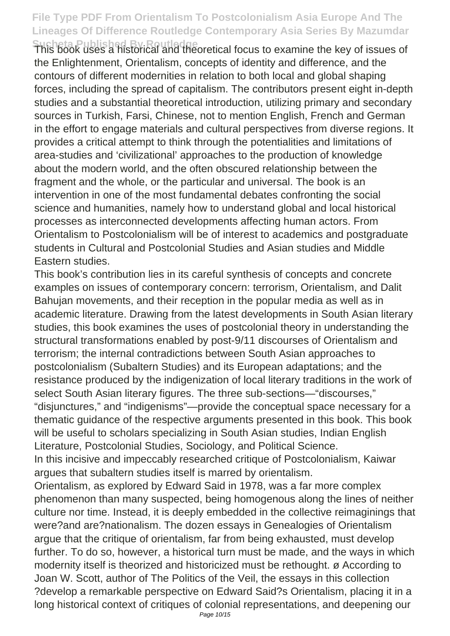**Sucheta Published By Routledge** This book uses a historical and theoretical focus to examine the key of issues of the Enlightenment, Orientalism, concepts of identity and difference, and the contours of different modernities in relation to both local and global shaping forces, including the spread of capitalism. The contributors present eight in-depth studies and a substantial theoretical introduction, utilizing primary and secondary sources in Turkish, Farsi, Chinese, not to mention English, French and German in the effort to engage materials and cultural perspectives from diverse regions. It provides a critical attempt to think through the potentialities and limitations of area-studies and 'civilizational' approaches to the production of knowledge about the modern world, and the often obscured relationship between the fragment and the whole, or the particular and universal. The book is an intervention in one of the most fundamental debates confronting the social science and humanities, namely how to understand global and local historical processes as interconnected developments affecting human actors. From Orientalism to Postcolonialism will be of interest to academics and postgraduate students in Cultural and Postcolonial Studies and Asian studies and Middle Eastern studies.

This book's contribution lies in its careful synthesis of concepts and concrete examples on issues of contemporary concern: terrorism, Orientalism, and Dalit Bahujan movements, and their reception in the popular media as well as in academic literature. Drawing from the latest developments in South Asian literary studies, this book examines the uses of postcolonial theory in understanding the structural transformations enabled by post-9/11 discourses of Orientalism and terrorism; the internal contradictions between South Asian approaches to postcolonialism (Subaltern Studies) and its European adaptations; and the resistance produced by the indigenization of local literary traditions in the work of select South Asian literary figures. The three sub-sections—"discourses," "disjunctures," and "indigenisms"—provide the conceptual space necessary for a thematic guidance of the respective arguments presented in this book. This book will be useful to scholars specializing in South Asian studies, Indian English Literature, Postcolonial Studies, Sociology, and Political Science.

In this incisive and impeccably researched critique of Postcolonialism, Kaiwar argues that subaltern studies itself is marred by orientalism.

Orientalism, as explored by Edward Said in 1978, was a far more complex phenomenon than many suspected, being homogenous along the lines of neither culture nor time. Instead, it is deeply embedded in the collective reimaginings that were?and are?nationalism. The dozen essays in Genealogies of Orientalism argue that the critique of orientalism, far from being exhausted, must develop further. To do so, however, a historical turn must be made, and the ways in which modernity itself is theorized and historicized must be rethought. ø According to Joan W. Scott, author of The Politics of the Veil, the essays in this collection ?develop a remarkable perspective on Edward Said?s Orientalism, placing it in a long historical context of critiques of colonial representations, and deepening our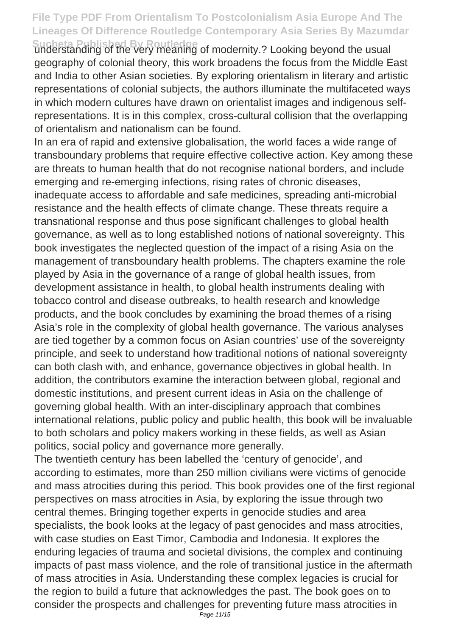Sucheta Published By Routledge<br>understanding of the very meaning of modernity.? Looking beyond the usual geography of colonial theory, this work broadens the focus from the Middle East and India to other Asian societies. By exploring orientalism in literary and artistic representations of colonial subjects, the authors illuminate the multifaceted ways in which modern cultures have drawn on orientalist images and indigenous selfrepresentations. It is in this complex, cross-cultural collision that the overlapping of orientalism and nationalism can be found.

In an era of rapid and extensive globalisation, the world faces a wide range of transboundary problems that require effective collective action. Key among these are threats to human health that do not recognise national borders, and include emerging and re-emerging infections, rising rates of chronic diseases, inadequate access to affordable and safe medicines, spreading anti-microbial resistance and the health effects of climate change. These threats require a transnational response and thus pose significant challenges to global health governance, as well as to long established notions of national sovereignty. This book investigates the neglected question of the impact of a rising Asia on the management of transboundary health problems. The chapters examine the role played by Asia in the governance of a range of global health issues, from development assistance in health, to global health instruments dealing with tobacco control and disease outbreaks, to health research and knowledge products, and the book concludes by examining the broad themes of a rising Asia's role in the complexity of global health governance. The various analyses are tied together by a common focus on Asian countries' use of the sovereignty principle, and seek to understand how traditional notions of national sovereignty can both clash with, and enhance, governance objectives in global health. In addition, the contributors examine the interaction between global, regional and domestic institutions, and present current ideas in Asia on the challenge of governing global health. With an inter-disciplinary approach that combines international relations, public policy and public health, this book will be invaluable to both scholars and policy makers working in these fields, as well as Asian politics, social policy and governance more generally.

The twentieth century has been labelled the 'century of genocide', and according to estimates, more than 250 million civilians were victims of genocide and mass atrocities during this period. This book provides one of the first regional perspectives on mass atrocities in Asia, by exploring the issue through two central themes. Bringing together experts in genocide studies and area specialists, the book looks at the legacy of past genocides and mass atrocities, with case studies on East Timor, Cambodia and Indonesia. It explores the enduring legacies of trauma and societal divisions, the complex and continuing impacts of past mass violence, and the role of transitional justice in the aftermath of mass atrocities in Asia. Understanding these complex legacies is crucial for the region to build a future that acknowledges the past. The book goes on to consider the prospects and challenges for preventing future mass atrocities in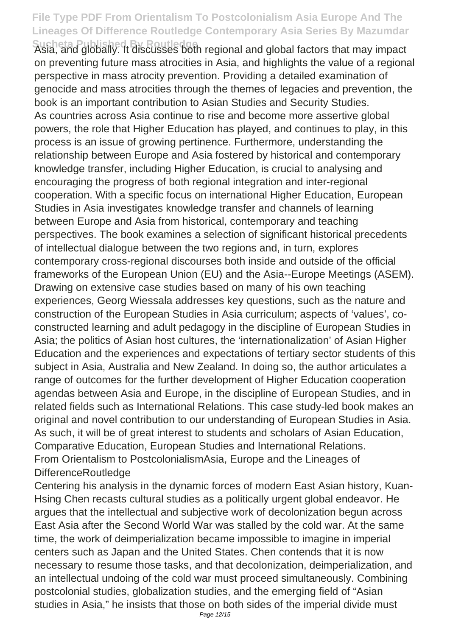Sucheta Published By Routledge<br>Asia, and globally. It discusses both regional and global factors that may impact on preventing future mass atrocities in Asia, and highlights the value of a regional perspective in mass atrocity prevention. Providing a detailed examination of genocide and mass atrocities through the themes of legacies and prevention, the book is an important contribution to Asian Studies and Security Studies. As countries across Asia continue to rise and become more assertive global powers, the role that Higher Education has played, and continues to play, in this process is an issue of growing pertinence. Furthermore, understanding the relationship between Europe and Asia fostered by historical and contemporary knowledge transfer, including Higher Education, is crucial to analysing and encouraging the progress of both regional integration and inter-regional cooperation. With a specific focus on international Higher Education, European Studies in Asia investigates knowledge transfer and channels of learning between Europe and Asia from historical, contemporary and teaching perspectives. The book examines a selection of significant historical precedents of intellectual dialogue between the two regions and, in turn, explores contemporary cross-regional discourses both inside and outside of the official frameworks of the European Union (EU) and the Asia--Europe Meetings (ASEM). Drawing on extensive case studies based on many of his own teaching experiences, Georg Wiessala addresses key questions, such as the nature and construction of the European Studies in Asia curriculum; aspects of 'values', coconstructed learning and adult pedagogy in the discipline of European Studies in Asia; the politics of Asian host cultures, the 'internationalization' of Asian Higher Education and the experiences and expectations of tertiary sector students of this subject in Asia, Australia and New Zealand. In doing so, the author articulates a range of outcomes for the further development of Higher Education cooperation agendas between Asia and Europe, in the discipline of European Studies, and in related fields such as International Relations. This case study-led book makes an original and novel contribution to our understanding of European Studies in Asia. As such, it will be of great interest to students and scholars of Asian Education, Comparative Education, European Studies and International Relations. From Orientalism to PostcolonialismAsia, Europe and the Lineages of DifferenceRoutledge

Centering his analysis in the dynamic forces of modern East Asian history, Kuan-Hsing Chen recasts cultural studies as a politically urgent global endeavor. He argues that the intellectual and subjective work of decolonization begun across East Asia after the Second World War was stalled by the cold war. At the same time, the work of deimperialization became impossible to imagine in imperial centers such as Japan and the United States. Chen contends that it is now necessary to resume those tasks, and that decolonization, deimperialization, and an intellectual undoing of the cold war must proceed simultaneously. Combining postcolonial studies, globalization studies, and the emerging field of "Asian studies in Asia," he insists that those on both sides of the imperial divide must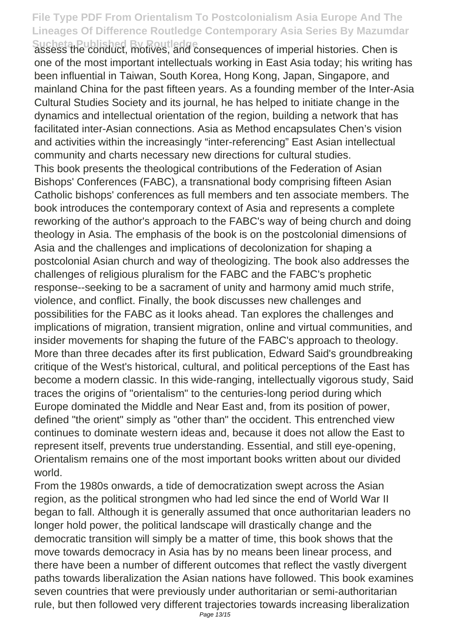Sucheta Published By Routledge<br>assess the conduct, motives, and consequences of imperial histories. Chen is one of the most important intellectuals working in East Asia today; his writing has been influential in Taiwan, South Korea, Hong Kong, Japan, Singapore, and mainland China for the past fifteen years. As a founding member of the Inter-Asia Cultural Studies Society and its journal, he has helped to initiate change in the dynamics and intellectual orientation of the region, building a network that has facilitated inter-Asian connections. Asia as Method encapsulates Chen's vision and activities within the increasingly "inter-referencing" East Asian intellectual community and charts necessary new directions for cultural studies. This book presents the theological contributions of the Federation of Asian Bishops' Conferences (FABC), a transnational body comprising fifteen Asian Catholic bishops' conferences as full members and ten associate members. The book introduces the contemporary context of Asia and represents a complete reworking of the author's approach to the FABC's way of being church and doing theology in Asia. The emphasis of the book is on the postcolonial dimensions of Asia and the challenges and implications of decolonization for shaping a postcolonial Asian church and way of theologizing. The book also addresses the challenges of religious pluralism for the FABC and the FABC's prophetic response--seeking to be a sacrament of unity and harmony amid much strife, violence, and conflict. Finally, the book discusses new challenges and possibilities for the FABC as it looks ahead. Tan explores the challenges and implications of migration, transient migration, online and virtual communities, and insider movements for shaping the future of the FABC's approach to theology. More than three decades after its first publication, Edward Said's groundbreaking critique of the West's historical, cultural, and political perceptions of the East has become a modern classic. In this wide-ranging, intellectually vigorous study, Said traces the origins of "orientalism" to the centuries-long period during which Europe dominated the Middle and Near East and, from its position of power, defined "the orient" simply as "other than" the occident. This entrenched view continues to dominate western ideas and, because it does not allow the East to represent itself, prevents true understanding. Essential, and still eye-opening, Orientalism remains one of the most important books written about our divided world.

From the 1980s onwards, a tide of democratization swept across the Asian region, as the political strongmen who had led since the end of World War II began to fall. Although it is generally assumed that once authoritarian leaders no longer hold power, the political landscape will drastically change and the democratic transition will simply be a matter of time, this book shows that the move towards democracy in Asia has by no means been linear process, and there have been a number of different outcomes that reflect the vastly divergent paths towards liberalization the Asian nations have followed. This book examines seven countries that were previously under authoritarian or semi-authoritarian rule, but then followed very different trajectories towards increasing liberalization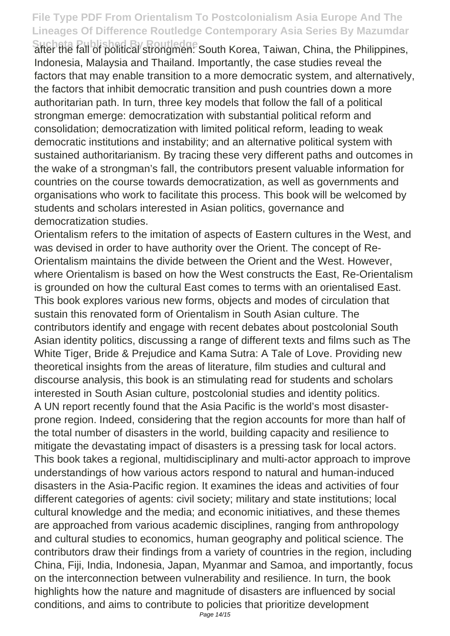Sucheta Published By Routledge<br>after the fall of political strongmen: South Korea, Taiwan, China, the Philippines, Indonesia, Malaysia and Thailand. Importantly, the case studies reveal the factors that may enable transition to a more democratic system, and alternatively, the factors that inhibit democratic transition and push countries down a more authoritarian path. In turn, three key models that follow the fall of a political strongman emerge: democratization with substantial political reform and consolidation; democratization with limited political reform, leading to weak democratic institutions and instability; and an alternative political system with sustained authoritarianism. By tracing these very different paths and outcomes in the wake of a strongman's fall, the contributors present valuable information for countries on the course towards democratization, as well as governments and organisations who work to facilitate this process. This book will be welcomed by students and scholars interested in Asian politics, governance and democratization studies.

Orientalism refers to the imitation of aspects of Eastern cultures in the West, and was devised in order to have authority over the Orient. The concept of Re-Orientalism maintains the divide between the Orient and the West. However, where Orientalism is based on how the West constructs the East, Re-Orientalism is grounded on how the cultural East comes to terms with an orientalised East. This book explores various new forms, objects and modes of circulation that sustain this renovated form of Orientalism in South Asian culture. The contributors identify and engage with recent debates about postcolonial South Asian identity politics, discussing a range of different texts and films such as The White Tiger, Bride & Prejudice and Kama Sutra: A Tale of Love. Providing new theoretical insights from the areas of literature, film studies and cultural and discourse analysis, this book is an stimulating read for students and scholars interested in South Asian culture, postcolonial studies and identity politics. A UN report recently found that the Asia Pacific is the world's most disasterprone region. Indeed, considering that the region accounts for more than half of the total number of disasters in the world, building capacity and resilience to mitigate the devastating impact of disasters is a pressing task for local actors. This book takes a regional, multidisciplinary and multi-actor approach to improve understandings of how various actors respond to natural and human-induced disasters in the Asia-Pacific region. It examines the ideas and activities of four different categories of agents: civil society; military and state institutions; local cultural knowledge and the media; and economic initiatives, and these themes are approached from various academic disciplines, ranging from anthropology and cultural studies to economics, human geography and political science. The contributors draw their findings from a variety of countries in the region, including China, Fiji, India, Indonesia, Japan, Myanmar and Samoa, and importantly, focus on the interconnection between vulnerability and resilience. In turn, the book highlights how the nature and magnitude of disasters are influenced by social conditions, and aims to contribute to policies that prioritize development